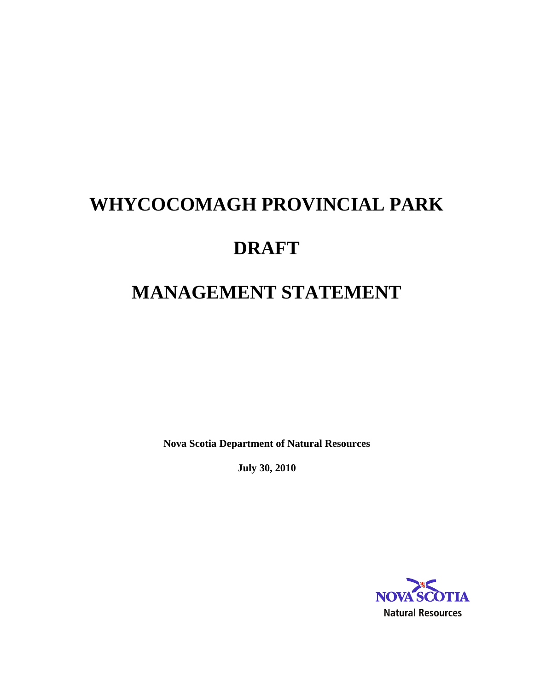# **WHYCOCOMAGH PROVINCIAL PARK DRAFT MANAGEMENT STATEMENT**

**Nova Scotia Department of Natural Resources**

**July 30, 2010**

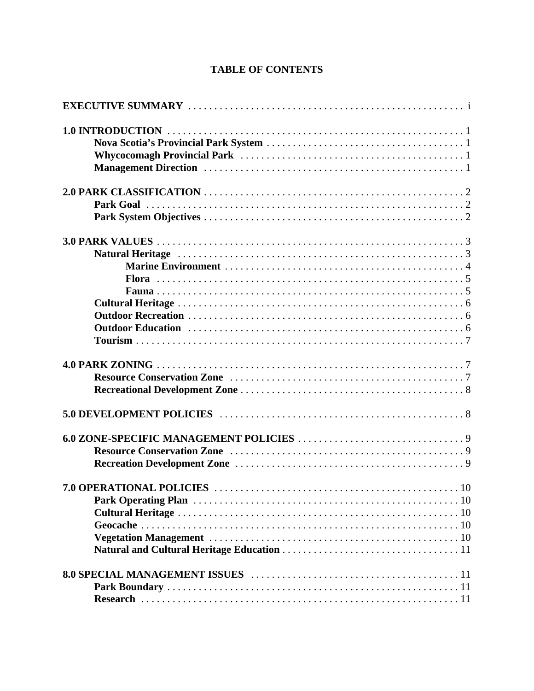### **TABLE OF CONTENTS**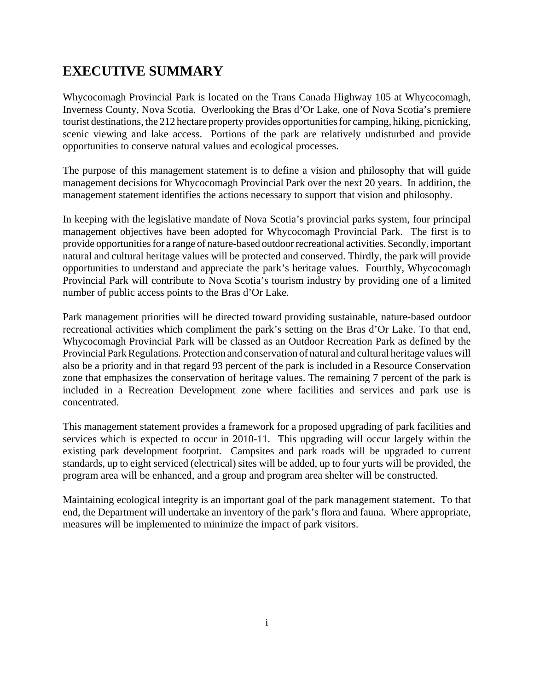# **EXECUTIVE SUMMARY**

Whycocomagh Provincial Park is located on the Trans Canada Highway 105 at Whycocomagh, Inverness County, Nova Scotia. Overlooking the Bras d'Or Lake, one of Nova Scotia's premiere tourist destinations, the 212 hectare property provides opportunities for camping, hiking, picnicking, scenic viewing and lake access. Portions of the park are relatively undisturbed and provide opportunities to conserve natural values and ecological processes.

The purpose of this management statement is to define a vision and philosophy that will guide management decisions for Whycocomagh Provincial Park over the next 20 years. In addition, the management statement identifies the actions necessary to support that vision and philosophy.

In keeping with the legislative mandate of Nova Scotia's provincial parks system, four principal management objectives have been adopted for Whycocomagh Provincial Park. The first is to provide opportunities for a range of nature-based outdoor recreational activities. Secondly, important natural and cultural heritage values will be protected and conserved. Thirdly, the park will provide opportunities to understand and appreciate the park's heritage values. Fourthly, Whycocomagh Provincial Park will contribute to Nova Scotia's tourism industry by providing one of a limited number of public access points to the Bras d'Or Lake.

Park management priorities will be directed toward providing sustainable, nature-based outdoor recreational activities which compliment the park's setting on the Bras d'Or Lake. To that end, Whycocomagh Provincial Park will be classed as an Outdoor Recreation Park as defined by the Provincial Park Regulations. Protection and conservation of natural and cultural heritage values will also be a priority and in that regard 93 percent of the park is included in a Resource Conservation zone that emphasizes the conservation of heritage values. The remaining 7 percent of the park is included in a Recreation Development zone where facilities and services and park use is concentrated.

This management statement provides a framework for a proposed upgrading of park facilities and services which is expected to occur in 2010-11. This upgrading will occur largely within the existing park development footprint. Campsites and park roads will be upgraded to current standards, up to eight serviced (electrical) sites will be added, up to four yurts will be provided, the program area will be enhanced, and a group and program area shelter will be constructed.

Maintaining ecological integrity is an important goal of the park management statement. To that end, the Department will undertake an inventory of the park's flora and fauna. Where appropriate, measures will be implemented to minimize the impact of park visitors.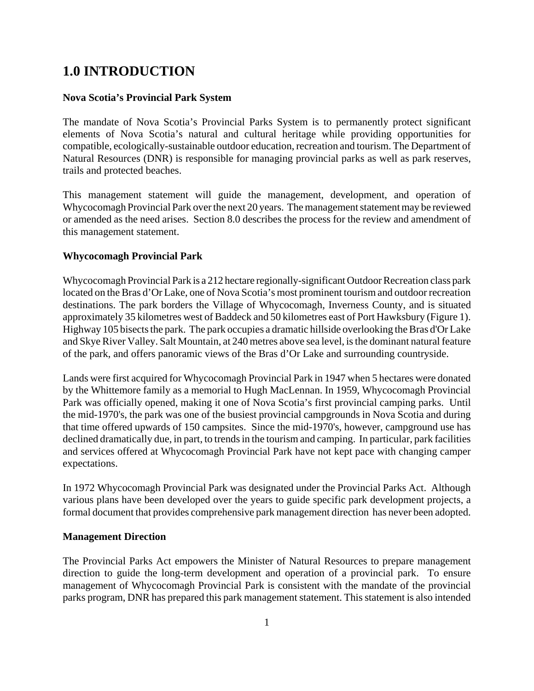# **1.0 INTRODUCTION**

### **Nova Scotia's Provincial Park System**

The mandate of Nova Scotia's Provincial Parks System is to permanently protect significant elements of Nova Scotia's natural and cultural heritage while providing opportunities for compatible, ecologically-sustainable outdoor education, recreation and tourism. The Department of Natural Resources (DNR) is responsible for managing provincial parks as well as park reserves, trails and protected beaches.

This management statement will guide the management, development, and operation of Whycocomagh Provincial Park over the next 20 years. The management statement may be reviewed or amended as the need arises. Section 8.0 describes the process for the review and amendment of this management statement.

### **Whycocomagh Provincial Park**

Whycocomagh Provincial Park is a 212 hectare regionally-significant Outdoor Recreation class park located on the Bras d'Or Lake, one of Nova Scotia's most prominent tourism and outdoor recreation destinations. The park borders the Village of Whycocomagh, Inverness County, and is situated approximately 35 kilometres west of Baddeck and 50 kilometres east of Port Hawksbury (Figure 1). Highway 105 bisects the park. The park occupies a dramatic hillside overlooking the Bras d'Or Lake and Skye River Valley. Salt Mountain, at 240 metres above sea level, is the dominant natural feature of the park, and offers panoramic views of the Bras d'Or Lake and surrounding countryside.

Lands were first acquired for Whycocomagh Provincial Park in 1947 when 5 hectares were donated by the Whittemore family as a memorial to Hugh MacLennan. In 1959, Whycocomagh Provincial Park was officially opened, making it one of Nova Scotia's first provincial camping parks. Until the mid-1970's, the park was one of the busiest provincial campgrounds in Nova Scotia and during that time offered upwards of 150 campsites. Since the mid-1970's, however, campground use has declined dramatically due, in part, to trends in the tourism and camping. In particular, park facilities and services offered at Whycocomagh Provincial Park have not kept pace with changing camper expectations.

In 1972 Whycocomagh Provincial Park was designated under the Provincial Parks Act. Although various plans have been developed over the years to guide specific park development projects, a formal document that provides comprehensive park management direction has never been adopted.

### **Management Direction**

The Provincial Parks Act empowers the Minister of Natural Resources to prepare management direction to guide the long-term development and operation of a provincial park. To ensure management of Whycocomagh Provincial Park is consistent with the mandate of the provincial parks program, DNR has prepared this park management statement. This statement is also intended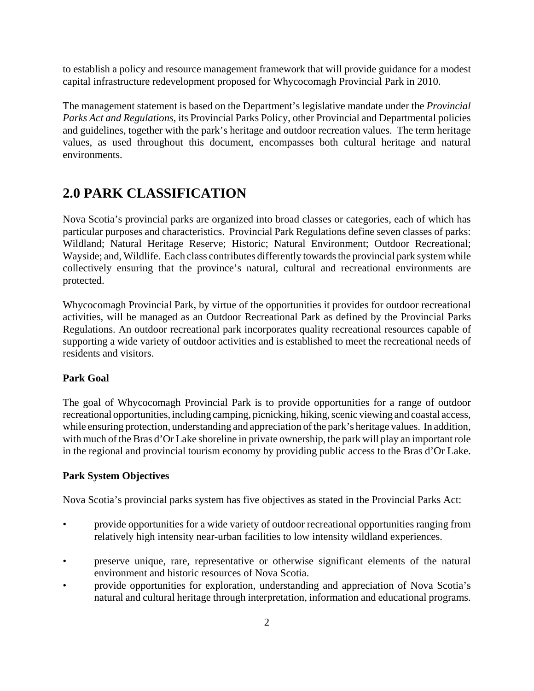to establish a policy and resource management framework that will provide guidance for a modest capital infrastructure redevelopment proposed for Whycocomagh Provincial Park in 2010.

The management statement is based on the Department's legislative mandate under the *Provincial Parks Act and Regulations*, its Provincial Parks Policy, other Provincial and Departmental policies and guidelines, together with the park's heritage and outdoor recreation values. The term heritage values, as used throughout this document, encompasses both cultural heritage and natural environments.

# **2.0 PARK CLASSIFICATION**

Nova Scotia's provincial parks are organized into broad classes or categories, each of which has particular purposes and characteristics. Provincial Park Regulations define seven classes of parks: Wildland; Natural Heritage Reserve; Historic; Natural Environment; Outdoor Recreational; Wayside; and, Wildlife. Each class contributes differently towards the provincial park system while collectively ensuring that the province's natural, cultural and recreational environments are protected.

Whycocomagh Provincial Park, by virtue of the opportunities it provides for outdoor recreational activities, will be managed as an Outdoor Recreational Park as defined by the Provincial Parks Regulations. An outdoor recreational park incorporates quality recreational resources capable of supporting a wide variety of outdoor activities and is established to meet the recreational needs of residents and visitors.

### **Park Goal**

The goal of Whycocomagh Provincial Park is to provide opportunities for a range of outdoor recreational opportunities, including camping, picnicking, hiking, scenic viewing and coastal access, while ensuring protection, understanding and appreciation of the park's heritage values. In addition, with much of the Bras d'Or Lake shoreline in private ownership, the park will play an important role in the regional and provincial tourism economy by providing public access to the Bras d'Or Lake.

### **Park System Objectives**

Nova Scotia's provincial parks system has five objectives as stated in the Provincial Parks Act:

- provide opportunities for a wide variety of outdoor recreational opportunities ranging from relatively high intensity near-urban facilities to low intensity wildland experiences.
- preserve unique, rare, representative or otherwise significant elements of the natural environment and historic resources of Nova Scotia.
- provide opportunities for exploration, understanding and appreciation of Nova Scotia's natural and cultural heritage through interpretation, information and educational programs.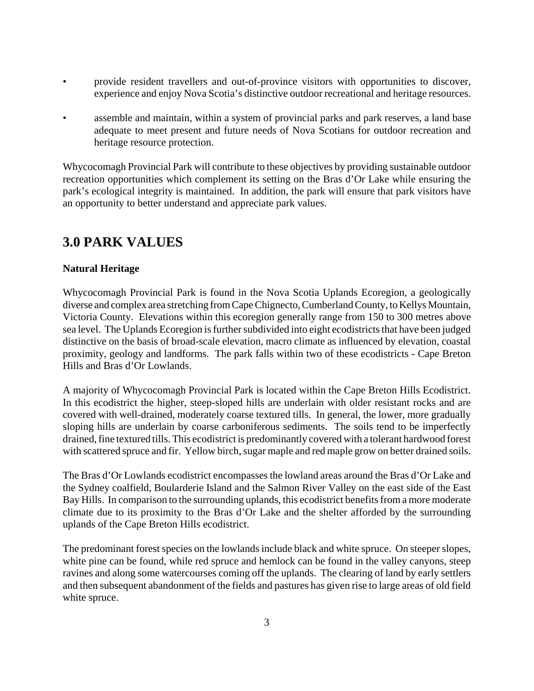- provide resident travellers and out-of-province visitors with opportunities to discover, experience and enjoy Nova Scotia's distinctive outdoor recreational and heritage resources.
- assemble and maintain, within a system of provincial parks and park reserves, a land base adequate to meet present and future needs of Nova Scotians for outdoor recreation and heritage resource protection.

Whycocomagh Provincial Park will contribute to these objectives by providing sustainable outdoor recreation opportunities which complement its setting on the Bras d'Or Lake while ensuring the park's ecological integrity is maintained. In addition, the park will ensure that park visitors have an opportunity to better understand and appreciate park values.

# **3.0 PARK VALUES**

### **Natural Heritage**

Whycocomagh Provincial Park is found in the Nova Scotia Uplands Ecoregion, a geologically diverse and complex area stretching from Cape Chignecto, Cumberland County, to Kellys Mountain, Victoria County. Elevations within this ecoregion generally range from 150 to 300 metres above sea level. The Uplands Ecoregion is further subdivided into eight ecodistricts that have been judged distinctive on the basis of broad-scale elevation, macro climate as influenced by elevation, coastal proximity, geology and landforms. The park falls within two of these ecodistricts - Cape Breton Hills and Bras d'Or Lowlands.

A majority of Whycocomagh Provincial Park is located within the Cape Breton Hills Ecodistrict. In this ecodistrict the higher, steep-sloped hills are underlain with older resistant rocks and are covered with well-drained, moderately coarse textured tills. In general, the lower, more gradually sloping hills are underlain by coarse carboniferous sediments. The soils tend to be imperfectly drained, fine textured tills. This ecodistrict is predominantly covered with a tolerant hardwood forest with scattered spruce and fir. Yellow birch, sugar maple and red maple grow on better drained soils.

The Bras d'Or Lowlands ecodistrict encompasses the lowland areas around the Bras d'Or Lake and the Sydney coalfield, Boularderie Island and the Salmon River Valley on the east side of the East Bay Hills. In comparison to the surrounding uplands, this ecodistrict benefits from a more moderate climate due to its proximity to the Bras d'Or Lake and the shelter afforded by the surrounding uplands of the Cape Breton Hills ecodistrict.

The predominant forest species on the lowlands include black and white spruce. On steeper slopes, white pine can be found, while red spruce and hemlock can be found in the valley canyons, steep ravines and along some watercourses coming off the uplands. The clearing of land by early settlers and then subsequent abandonment of the fields and pastures has given rise to large areas of old field white spruce.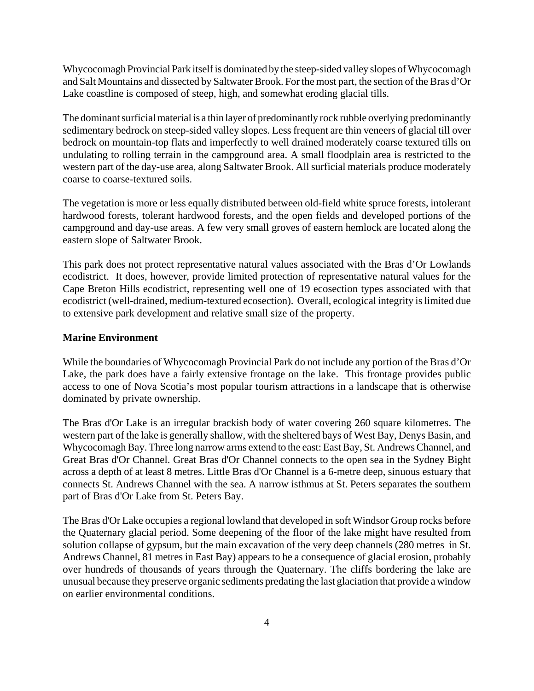Whycocomagh Provincial Park itself is dominated by the steep-sided valley slopes of Whycocomagh and Salt Mountains and dissected by Saltwater Brook. For the most part, the section of the Bras d'Or Lake coastline is composed of steep, high, and somewhat eroding glacial tills.

The dominant surficial material is a thin layer of predominantly rock rubble overlying predominantly sedimentary bedrock on steep-sided valley slopes. Less frequent are thin veneers of glacial till over bedrock on mountain-top flats and imperfectly to well drained moderately coarse textured tills on undulating to rolling terrain in the campground area. A small floodplain area is restricted to the western part of the day-use area, along Saltwater Brook. All surficial materials produce moderately coarse to coarse-textured soils.

The vegetation is more or less equally distributed between old-field white spruce forests, intolerant hardwood forests, tolerant hardwood forests, and the open fields and developed portions of the campground and day-use areas. A few very small groves of eastern hemlock are located along the eastern slope of Saltwater Brook.

This park does not protect representative natural values associated with the Bras d'Or Lowlands ecodistrict. It does, however, provide limited protection of representative natural values for the Cape Breton Hills ecodistrict, representing well one of 19 ecosection types associated with that ecodistrict (well-drained, medium-textured ecosection). Overall, ecological integrity is limited due to extensive park development and relative small size of the property.

### **Marine Environment**

While the boundaries of Whycocomagh Provincial Park do not include any portion of the Bras d'Or Lake, the park does have a fairly extensive frontage on the lake. This frontage provides public access to one of Nova Scotia's most popular tourism attractions in a landscape that is otherwise dominated by private ownership.

The Bras d'Or Lake is an irregular brackish body of water covering 260 square kilometres. The western part of the lake is generally shallow, with the sheltered bays of West Bay, Denys Basin, and Whycocomagh Bay. Three long narrow arms extend to the east: East Bay, St. Andrews Channel, and Great Bras d'Or Channel. Great Bras d'Or Channel connects to the open sea in the Sydney Bight across a depth of at least 8 metres. Little Bras d'Or Channel is a 6-metre deep, sinuous estuary that connects St. Andrews Channel with the sea. A narrow isthmus at St. Peters separates the southern part of Bras d'Or Lake from St. Peters Bay.

The Bras d'Or Lake occupies a regional lowland that developed in soft Windsor Group rocks before the Quaternary glacial period. Some deepening of the floor of the lake might have resulted from solution collapse of gypsum, but the main excavation of the very deep channels (280 metres in St. Andrews Channel, 81 metres in East Bay) appears to be a consequence of glacial erosion, probably over hundreds of thousands of years through the Quaternary. The cliffs bordering the lake are unusual because they preserve organic sediments predating the last glaciation that provide a window on earlier environmental conditions.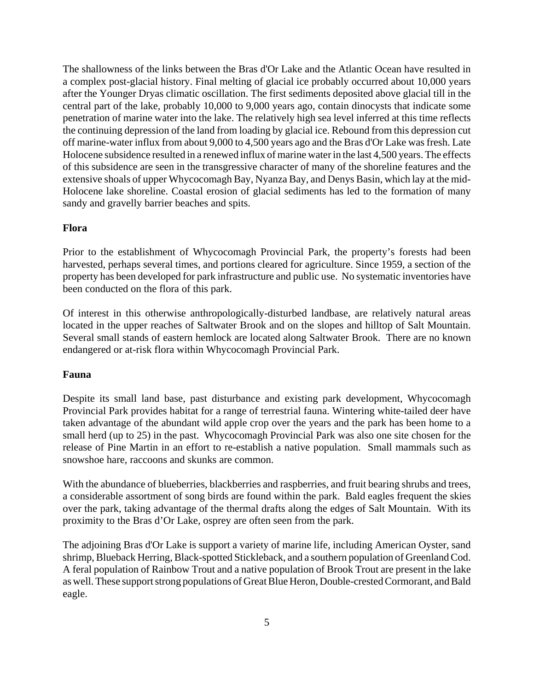The shallowness of the links between the Bras d'Or Lake and the Atlantic Ocean have resulted in a complex post-glacial history. Final melting of glacial ice probably occurred about 10,000 years after the Younger Dryas climatic oscillation. The first sediments deposited above glacial till in the central part of the lake, probably 10,000 to 9,000 years ago, contain dinocysts that indicate some penetration of marine water into the lake. The relatively high sea level inferred at this time reflects the continuing depression of the land from loading by glacial ice. Rebound from this depression cut off marine-water influx from about 9,000 to 4,500 years ago and the Bras d'Or Lake was fresh. Late Holocene subsidence resulted in a renewed influx of marine water in the last 4,500 years. The effects of this subsidence are seen in the transgressive character of many of the shoreline features and the extensive shoals of upper Whycocomagh Bay, Nyanza Bay, and Denys Basin, which lay at the mid-Holocene lake shoreline. Coastal erosion of glacial sediments has led to the formation of many sandy and gravelly barrier beaches and spits.

#### **Flora**

Prior to the establishment of Whycocomagh Provincial Park, the property's forests had been harvested, perhaps several times, and portions cleared for agriculture. Since 1959, a section of the property has been developed for park infrastructure and public use. No systematic inventories have been conducted on the flora of this park.

Of interest in this otherwise anthropologically-disturbed landbase, are relatively natural areas located in the upper reaches of Saltwater Brook and on the slopes and hilltop of Salt Mountain. Several small stands of eastern hemlock are located along Saltwater Brook. There are no known endangered or at-risk flora within Whycocomagh Provincial Park.

### **Fauna**

Despite its small land base, past disturbance and existing park development, Whycocomagh Provincial Park provides habitat for a range of terrestrial fauna. Wintering white-tailed deer have taken advantage of the abundant wild apple crop over the years and the park has been home to a small herd (up to 25) in the past. Whycocomagh Provincial Park was also one site chosen for the release of Pine Martin in an effort to re-establish a native population. Small mammals such as snowshoe hare, raccoons and skunks are common.

With the abundance of blueberries, blackberries and raspberries, and fruit bearing shrubs and trees, a considerable assortment of song birds are found within the park. Bald eagles frequent the skies over the park, taking advantage of the thermal drafts along the edges of Salt Mountain. With its proximity to the Bras d'Or Lake, osprey are often seen from the park.

The adjoining Bras d'Or Lake is support a variety of marine life, including American Oyster, sand shrimp, Blueback Herring, Black-spotted Stickleback, and a southern population of Greenland Cod. A feral population of Rainbow Trout and a native population of Brook Trout are present in the lake as well. These support strong populations of Great Blue Heron, Double-crested Cormorant, and Bald eagle.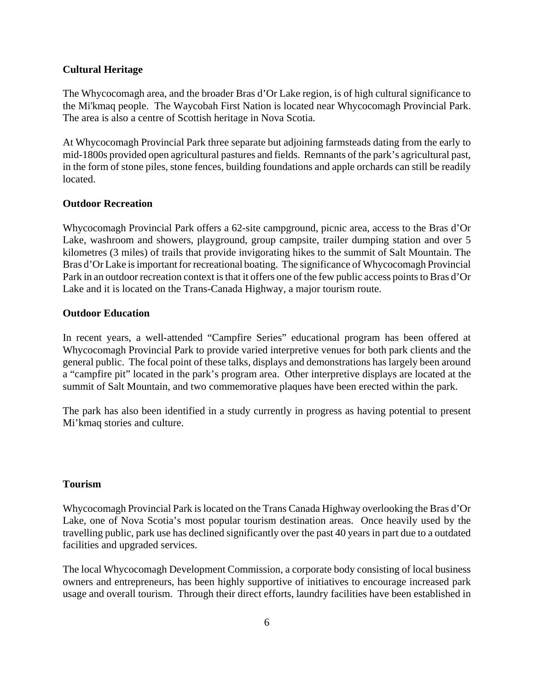### **Cultural Heritage**

The Whycocomagh area, and the broader Bras d'Or Lake region, is of high cultural significance to the Mi'kmaq people. The Waycobah First Nation is located near Whycocomagh Provincial Park. The area is also a centre of Scottish heritage in Nova Scotia.

At Whycocomagh Provincial Park three separate but adjoining farmsteads dating from the early to mid-1800s provided open agricultural pastures and fields. Remnants of the park's agricultural past, in the form of stone piles, stone fences, building foundations and apple orchards can still be readily located.

### **Outdoor Recreation**

Whycocomagh Provincial Park offers a 62-site campground, picnic area, access to the Bras d'Or Lake, washroom and showers, playground, group campsite, trailer dumping station and over 5 kilometres (3 miles) of trails that provide invigorating hikes to the summit of Salt Mountain. The Bras d'Or Lake is important for recreational boating. The significance of Whycocomagh Provincial Park in an outdoor recreation context is that it offers one of the few public access points to Bras d'Or Lake and it is located on the Trans-Canada Highway, a major tourism route.

### **Outdoor Education**

In recent years, a well-attended "Campfire Series" educational program has been offered at Whycocomagh Provincial Park to provide varied interpretive venues for both park clients and the general public. The focal point of these talks, displays and demonstrations has largely been around a "campfire pit" located in the park's program area. Other interpretive displays are located at the summit of Salt Mountain, and two commemorative plaques have been erected within the park.

The park has also been identified in a study currently in progress as having potential to present Mi'kmaq stories and culture.

#### **Tourism**

Whycocomagh Provincial Park is located on the Trans Canada Highway overlooking the Bras d'Or Lake, one of Nova Scotia's most popular tourism destination areas. Once heavily used by the travelling public, park use has declined significantly over the past 40 years in part due to a outdated facilities and upgraded services.

The local Whycocomagh Development Commission, a corporate body consisting of local business owners and entrepreneurs, has been highly supportive of initiatives to encourage increased park usage and overall tourism. Through their direct efforts, laundry facilities have been established in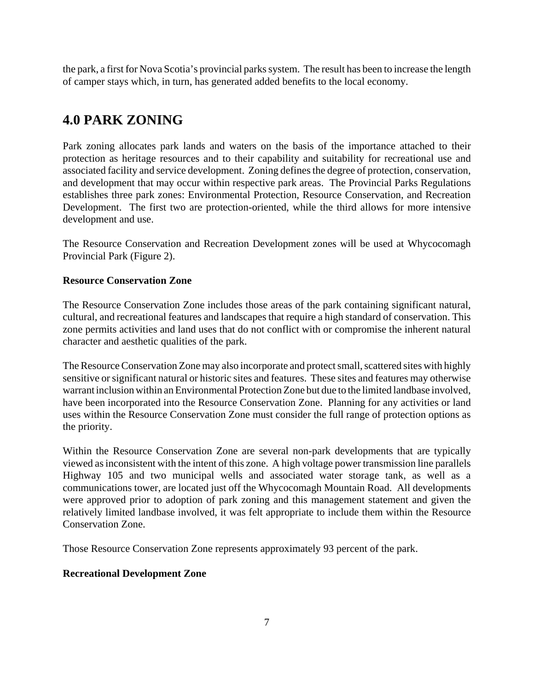the park, a first for Nova Scotia's provincial parks system. The result has been to increase the length of camper stays which, in turn, has generated added benefits to the local economy.

# **4.0 PARK ZONING**

Park zoning allocates park lands and waters on the basis of the importance attached to their protection as heritage resources and to their capability and suitability for recreational use and associated facility and service development. Zoning defines the degree of protection, conservation, and development that may occur within respective park areas. The Provincial Parks Regulations establishes three park zones: Environmental Protection, Resource Conservation, and Recreation Development. The first two are protection-oriented, while the third allows for more intensive development and use.

The Resource Conservation and Recreation Development zones will be used at Whycocomagh Provincial Park (Figure 2).

### **Resource Conservation Zone**

The Resource Conservation Zone includes those areas of the park containing significant natural, cultural, and recreational features and landscapes that require a high standard of conservation. This zone permits activities and land uses that do not conflict with or compromise the inherent natural character and aesthetic qualities of the park.

The Resource Conservation Zone may also incorporate and protect small, scattered sites with highly sensitive or significant natural or historic sites and features. These sites and features may otherwise warrant inclusion within an Environmental Protection Zone but due to the limited landbase involved, have been incorporated into the Resource Conservation Zone. Planning for any activities or land uses within the Resource Conservation Zone must consider the full range of protection options as the priority.

Within the Resource Conservation Zone are several non-park developments that are typically viewed as inconsistent with the intent of this zone. A high voltage power transmission line parallels Highway 105 and two municipal wells and associated water storage tank, as well as a communications tower, are located just off the Whycocomagh Mountain Road. All developments were approved prior to adoption of park zoning and this management statement and given the relatively limited landbase involved, it was felt appropriate to include them within the Resource Conservation Zone.

Those Resource Conservation Zone represents approximately 93 percent of the park.

### **Recreational Development Zone**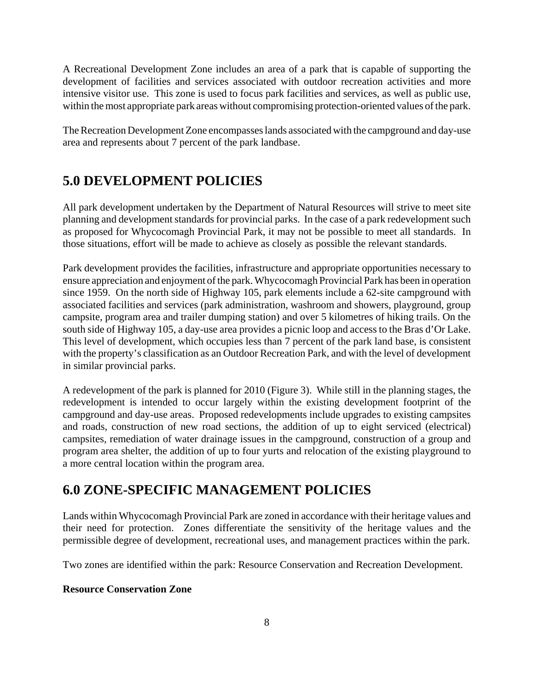A Recreational Development Zone includes an area of a park that is capable of supporting the development of facilities and services associated with outdoor recreation activities and more intensive visitor use. This zone is used to focus park facilities and services, as well as public use, within the most appropriate park areas without compromising protection-oriented values of the park.

The Recreation Development Zone encompasses lands associated with the campground and day-use area and represents about 7 percent of the park landbase.

# **5.0 DEVELOPMENT POLICIES**

All park development undertaken by the Department of Natural Resources will strive to meet site planning and development standards for provincial parks. In the case of a park redevelopment such as proposed for Whycocomagh Provincial Park, it may not be possible to meet all standards. In those situations, effort will be made to achieve as closely as possible the relevant standards.

Park development provides the facilities, infrastructure and appropriate opportunities necessary to ensure appreciation and enjoyment of the park. Whycocomagh Provincial Park has been in operation since 1959. On the north side of Highway 105, park elements include a 62-site campground with associated facilities and services (park administration, washroom and showers, playground, group campsite, program area and trailer dumping station) and over 5 kilometres of hiking trails. On the south side of Highway 105, a day-use area provides a picnic loop and access to the Bras d'Or Lake. This level of development, which occupies less than 7 percent of the park land base, is consistent with the property's classification as an Outdoor Recreation Park, and with the level of development in similar provincial parks.

A redevelopment of the park is planned for 2010 (Figure 3). While still in the planning stages, the redevelopment is intended to occur largely within the existing development footprint of the campground and day-use areas. Proposed redevelopments include upgrades to existing campsites and roads, construction of new road sections, the addition of up to eight serviced (electrical) campsites, remediation of water drainage issues in the campground, construction of a group and program area shelter, the addition of up to four yurts and relocation of the existing playground to a more central location within the program area.

# **6.0 ZONE-SPECIFIC MANAGEMENT POLICIES**

Lands within Whycocomagh Provincial Park are zoned in accordance with their heritage values and their need for protection. Zones differentiate the sensitivity of the heritage values and the permissible degree of development, recreational uses, and management practices within the park.

Two zones are identified within the park: Resource Conservation and Recreation Development.

### **Resource Conservation Zone**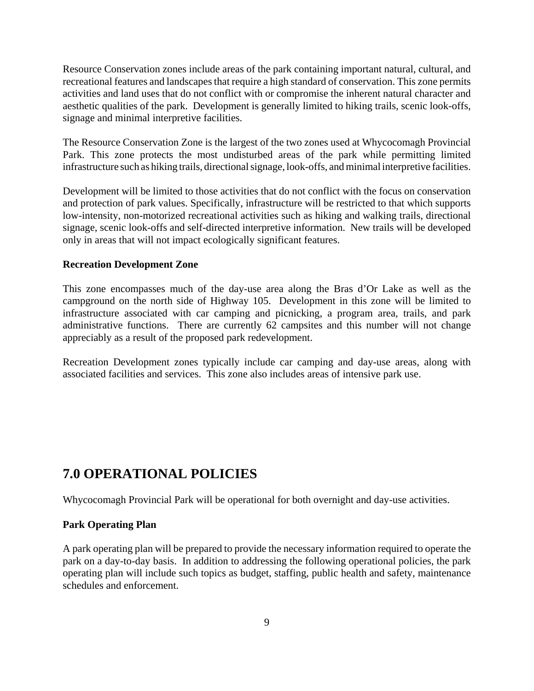Resource Conservation zones include areas of the park containing important natural, cultural, and recreational features and landscapes that require a high standard of conservation. This zone permits activities and land uses that do not conflict with or compromise the inherent natural character and aesthetic qualities of the park. Development is generally limited to hiking trails, scenic look-offs, signage and minimal interpretive facilities.

The Resource Conservation Zone is the largest of the two zones used at Whycocomagh Provincial Park. This zone protects the most undisturbed areas of the park while permitting limited infrastructure such as hiking trails, directional signage, look-offs, and minimal interpretive facilities.

Development will be limited to those activities that do not conflict with the focus on conservation and protection of park values. Specifically, infrastructure will be restricted to that which supports low-intensity, non-motorized recreational activities such as hiking and walking trails, directional signage, scenic look-offs and self-directed interpretive information. New trails will be developed only in areas that will not impact ecologically significant features.

#### **Recreation Development Zone**

This zone encompasses much of the day-use area along the Bras d'Or Lake as well as the campground on the north side of Highway 105. Development in this zone will be limited to infrastructure associated with car camping and picnicking, a program area, trails, and park administrative functions. There are currently 62 campsites and this number will not change appreciably as a result of the proposed park redevelopment.

Recreation Development zones typically include car camping and day-use areas, along with associated facilities and services. This zone also includes areas of intensive park use.

## **7.0 OPERATIONAL POLICIES**

Whycocomagh Provincial Park will be operational for both overnight and day-use activities.

#### **Park Operating Plan**

A park operating plan will be prepared to provide the necessary information required to operate the park on a day-to-day basis. In addition to addressing the following operational policies, the park operating plan will include such topics as budget, staffing, public health and safety, maintenance schedules and enforcement.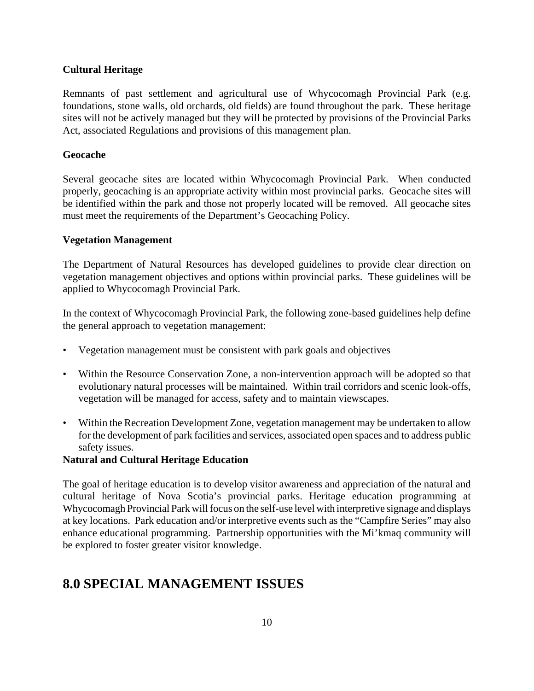### **Cultural Heritage**

Remnants of past settlement and agricultural use of Whycocomagh Provincial Park (e.g. foundations, stone walls, old orchards, old fields) are found throughout the park. These heritage sites will not be actively managed but they will be protected by provisions of the Provincial Parks Act, associated Regulations and provisions of this management plan.

### **Geocache**

Several geocache sites are located within Whycocomagh Provincial Park. When conducted properly, geocaching is an appropriate activity within most provincial parks. Geocache sites will be identified within the park and those not properly located will be removed. All geocache sites must meet the requirements of the Department's Geocaching Policy.

### **Vegetation Management**

The Department of Natural Resources has developed guidelines to provide clear direction on vegetation management objectives and options within provincial parks. These guidelines will be applied to Whycocomagh Provincial Park.

In the context of Whycocomagh Provincial Park, the following zone-based guidelines help define the general approach to vegetation management:

- Vegetation management must be consistent with park goals and objectives
- Within the Resource Conservation Zone, a non-intervention approach will be adopted so that evolutionary natural processes will be maintained. Within trail corridors and scenic look-offs, vegetation will be managed for access, safety and to maintain viewscapes.
- Within the Recreation Development Zone, vegetation management may be undertaken to allow for the development of park facilities and services, associated open spaces and to address public safety issues.

### **Natural and Cultural Heritage Education**

The goal of heritage education is to develop visitor awareness and appreciation of the natural and cultural heritage of Nova Scotia's provincial parks. Heritage education programming at Whycocomagh Provincial Park will focus on the self-use level with interpretive signage and displays at key locations. Park education and/or interpretive events such as the "Campfire Series" may also enhance educational programming. Partnership opportunities with the Mi'kmaq community will be explored to foster greater visitor knowledge.

# **8.0 SPECIAL MANAGEMENT ISSUES**